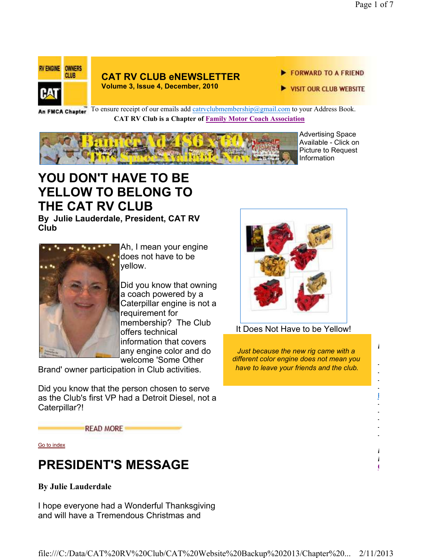*In This issue*

Radiator Health

*Need to do some holiday shopping. We have CAT RV Club merchandise available:* 

**CAT RV Club Shopping Cart**

- - - -

- - - - -



#### **CAT RV CLUB eNEWSLETTER Volume 3, Issue 4, December, 2010**

#### FORWARD TO A FRIEND

**VISIT OUR CLUB WEBSITE** 

An FMCA Chapter<sup>To ensure receipt of our emails add catrvclubmembership@gmail.com to your Address Book.</sup> **CAT RV Club is a Chapter of Family Motor Coach Association** 



Advertising Space Available - Click on Picture to Request Information

# **YOU DON'T HAVE TO BE YELLOW TO BELONG TO THE CAT RV CLUB**

**By Julie Lauderdale, President, CAT RV Club**



Ah, I mean your engine does not have to be yellow.

Did you know that owning a coach powered by a Caterpillar engine is not a requirement for membership? The Club offers technical information that covers any engine color and do welcome 'Some Other

Brand' owner participation in Club activities.

Did you know that the person chosen to serve as the Club's first VP had a Detroit Diesel, not a Caterpillar?!



It Does Not Have to be Yellow!

*Just because the new rig came with a different color engine does not mean you have to leave your friends and the club.*

**READ MORE** 

Go to index

# **PRESIDENT'S MESSAGE**

**By Julie Lauderdale**

I hope everyone had a Wonderful Thanksgiving and will have a Tremendous Christmas and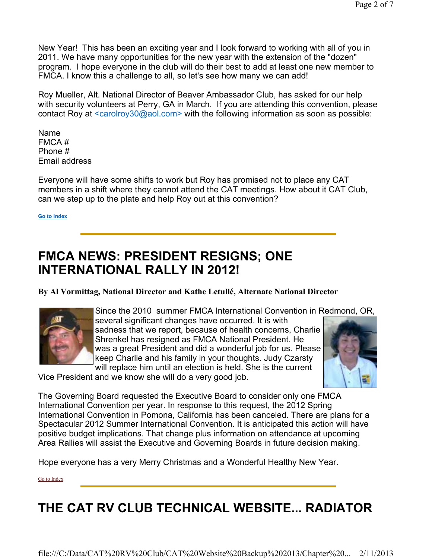New Year! This has been an exciting year and I look forward to working with all of you in 2011. We have many opportunities for the new year with the extension of the "dozen" program. I hope everyone in the club will do their best to add at least one new member to FMCA. I know this a challenge to all, so let's see how many we can add!

Roy Mueller, Alt. National Director of Beaver Ambassador Club, has asked for our help with security volunteers at Perry, GA in March. If you are attending this convention, please contact Roy at <carolroy30@aol.com> with the following information as soon as possible:

Name FMCA # Phone # Email address

Everyone will have some shifts to work but Roy has promised not to place any CAT members in a shift where they cannot attend the CAT meetings. How about it CAT Club, can we step up to the plate and help Roy out at this convention?

**Go to Index**

# **FMCA NEWS: PRESIDENT RESIGNS; ONE INTERNATIONAL RALLY IN 2012!**

**By Al Vormittag, National Director and Kathe Letullé, Alternate National Director**



Since the 2010 summer FMCA International Convention in Redmond, OR, several significant changes have occurred. It is with sadness that we report, because of health concerns, Charlie Shrenkel has resigned as FMCA National President. He was a great President and did a wonderful job for us. Please keep Charlie and his family in your thoughts. Judy Czarsty will replace him until an election is held. She is the current



Vice President and we know she will do a very good job.

The Governing Board requested the Executive Board to consider only one FMCA International Convention per year. In response to this request, the 2012 Spring International Convention in Pomona, California has been canceled. There are plans for a Spectacular 2012 Summer International Convention. It is anticipated this action will have positive budget implications. That change plus information on attendance at upcoming Area Rallies will assist the Executive and Governing Boards in future decision making.

Hope everyone has a very Merry Christmas and a Wonderful Healthy New Year.

Go to Index

# **THE CAT RV CLUB TECHNICAL WEBSITE... RADIATOR**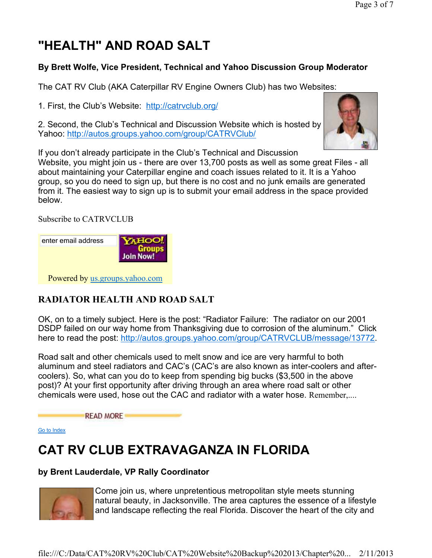# **"HEALTH" AND ROAD SALT**

### **By Brett Wolfe, Vice President, Technical and Yahoo Discussion Group Moderator**

The CAT RV Club (AKA Caterpillar RV Engine Owners Club) has two Websites:

1. First, the Club's Website: http://catrvclub.org/

2. Second, the Club's Technical and Discussion Website which is hosted by Yahoo: http://autos.groups.yahoo.com/group/CATRVClub/



If you don't already participate in the Club's Technical and Discussion Website, you might join us - there are over 13,700 posts as well as some great Files - all about maintaining your Caterpillar engine and coach issues related to it. It is a Yahoo group, so you do need to sign up, but there is no cost and no junk emails are generated from it. The easiest way to sign up is to submit your email address in the space provided below.

Subscribe to CATRVCLUB

enter email address  $HOC$ Groups **Join Now!** 

Powered by us.groups.yahoo.com

### **RADIATOR HEALTH AND ROAD SALT**

OK, on to a timely subject. Here is the post: "Radiator Failure: The radiator on our 2001 DSDP failed on our way home from Thanksgiving due to corrosion of the aluminum." Click here to read the post: http://autos.groups.yahoo.com/group/CATRVCLUB/message/13772.

Road salt and other chemicals used to melt snow and ice are very harmful to both aluminum and steel radiators and CAC's (CAC's are also known as inter-coolers and aftercoolers). So, what can you do to keep from spending big bucks (\$3,500 in the above post)? At your first opportunity after driving through an area where road salt or other chemicals were used, hose out the CAC and radiator with a water hose. Remember,....

**READ MORE** 

Go to Index

# **CAT RV CLUB EXTRAVAGANZA IN FLORIDA**

#### **by Brent Lauderdale, VP Rally Coordinator**



Come join us, where unpretentious metropolitan style meets stunning natural beauty, in Jacksonville. The area captures the essence of a lifestyle and landscape reflecting the real Florida. Discover the heart of the city and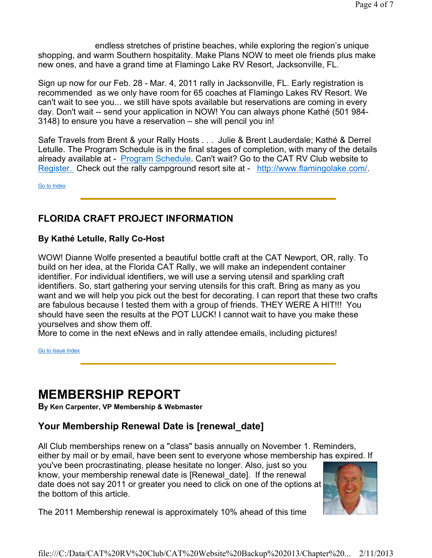endless stretches of pristine beaches, while exploring the region's unique shopping, and warm Southern hospitality. Make Plans NOW to meet ole friends plus make new ones, and have a grand time at Flamingo Lake RV Resort, Jacksonville, FL.

Sign up now for our Feb. 28 - Mar. 4, 2011 rally in Jacksonville, FL. Early registration is recommended as we only have room for 65 coaches at Flamingo Lakes RV Resort. We can't wait to see you... we still have spots available but reservations are coming in every day. Don't wait -- send your application in NOW! You can always phone Kathé (501 984- 3148) to ensure you have a reservation – she will pencil you in!

Safe Travels from Brent & your Rally Hosts . . . Julie & Brent Lauderdale; Kathé & Derrel Letulle. The Program Schedule is in the final stages of completion, with many of the details already available at - Program Schedule. Can't wait? Go to the CAT RV Club website to Register. Check out the rally campground resort site at - http://www.flamingolake.com/.

Go to Index

### **FLORIDA CRAFT PROJECT INFORMATION**

#### **By Kathé Letulle, Rally Co-Host**

WOW! Dianne Wolfe presented a beautiful bottle craft at the CAT Newport, OR, rally. To build on her idea, at the Florida CAT Rally, we will make an independent container identifier. For individual identifiers, we will use a serving utensil and sparkling craft identifiers. So, start gathering your serving utensils for this craft. Bring as many as you want and we will help you pick out the best for decorating. I can report that these two crafts are fabulous because I tested them with a group of friends. THEY WERE A HIT!!! You should have seen the results at the POT LUCK! I cannot wait to have you make these yourselves and show them off.

More to come in the next eNews and in rally attendee emails, including pictures!

Go to Issue Index

## **MEMBERSHIP REPORT**

**By Ken Carpenter, VP Membership & Webmaster**

### **Your Membership Renewal Date is [renewal\_date]**

All Club memberships renew on a "class" basis annually on November 1. Reminders, either by mail or by email, have been sent to everyone whose membership has expired. If you've been procrastinating, please hesitate no longer. Also, just so you know, your membership renewal date is [Renewal\_date]. If the renewal date does not say 2011 or greater you need to click on one of the options at the bottom of this article.



The 2011 Membership renewal is approximately 10% ahead of this time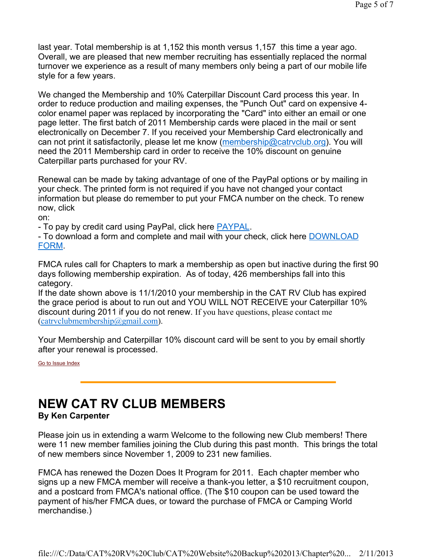last year. Total membership is at 1,152 this month versus 1,157 this time a year ago. Overall, we are pleased that new member recruiting has essentially replaced the normal turnover we experience as a result of many members only being a part of our mobile life style for a few years.

We changed the Membership and 10% Caterpillar Discount Card process this year. In order to reduce production and mailing expenses, the "Punch Out" card on expensive 4 color enamel paper was replaced by incorporating the "Card" into either an email or one page letter. The first batch of 2011 Membership cards were placed in the mail or sent electronically on December 7. If you received your Membership Card electronically and can not print it satisfactorily, please let me know (membership@catrvclub.org). You will need the 2011 Membership card in order to receive the 10% discount on genuine Caterpillar parts purchased for your RV.

Renewal can be made by taking advantage of one of the PayPal options or by mailing in your check. The printed form is not required if you have not changed your contact information but please do remember to put your FMCA number on the check. To renew now, click

on:

- To pay by credit card using PayPal, click here **PAYPAL**.

- To download a form and complete and mail with your check, click here DOWNLOAD FORM.

FMCA rules call for Chapters to mark a membership as open but inactive during the first 90 days following membership expiration. As of today, 426 memberships fall into this category.

If the date shown above is 11/1/2010 your membership in the CAT RV Club has expired the grace period is about to run out and YOU WILL NOT RECEIVE your Caterpillar 10% discount during 2011 if you do not renew. If you have questions, please contact me (catrvclubmembership@gmail.com).

Your Membership and Caterpillar 10% discount card will be sent to you by email shortly after your renewal is processed.

Go to Issue Index

## **NEW CAT RV CLUB MEMBERS**

#### **By Ken Carpenter**

Please join us in extending a warm Welcome to the following new Club members! There were 11 new member families joining the Club during this past month. This brings the total of new members since November 1, 2009 to 231 new families.

FMCA has renewed the Dozen Does It Program for 2011. Each chapter member who signs up a new FMCA member will receive a thank-you letter, a \$10 recruitment coupon, and a postcard from FMCA's national office. (The \$10 coupon can be used toward the payment of his/her FMCA dues, or toward the purchase of FMCA or Camping World merchandise.)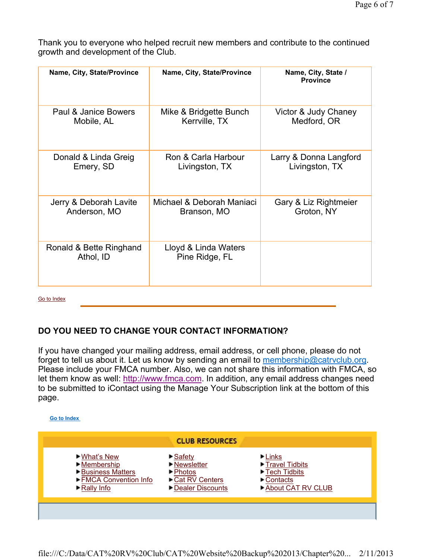Thank you to everyone who helped recruit new members and contribute to the continued growth and development of the Club.

| Name, City, State/Province           | Name, City, State/Province             | Name, City, State /<br><b>Province</b> |
|--------------------------------------|----------------------------------------|----------------------------------------|
| Paul & Janice Bowers                 | Mike & Bridgette Bunch                 | Victor & Judy Chaney                   |
| Mobile, AL                           | Kerrville, TX                          | Medford, OR                            |
| Donald & Linda Greig                 | Ron & Carla Harbour                    | Larry & Donna Langford                 |
| Emery, SD                            | Livingston, TX                         | Livingston, TX                         |
| Jerry & Deborah Lavite               | Michael & Deborah Maniaci              | Gary & Liz Rightmeier                  |
| Anderson, MO                         | Branson, MO                            | Groton, NY                             |
| Ronald & Bette Ringhand<br>Athol, ID | Lloyd & Linda Waters<br>Pine Ridge, FL |                                        |

Go to Index

### **DO YOU NEED TO CHANGE YOUR CONTACT INFORMATION?**

If you have changed your mailing address, email address, or cell phone, please do not forget to tell us about it. Let us know by sending an email to membership@catrvclub.org. Please include your FMCA number. Also, we can not share this information with FMCA, so let them know as well: http://www.fmca.com. In addition, any email address changes need to be submitted to iContact using the Manage Your Subscription link at the bottom of this page.

**Go to Index** 

| <b>CLUB RESOURCES</b>                                                                                           |                                                                                           |                                                                                                |  |
|-----------------------------------------------------------------------------------------------------------------|-------------------------------------------------------------------------------------------|------------------------------------------------------------------------------------------------|--|
| ▶ What's New<br>$\blacktriangleright$ Membership<br>▶ Business Matters<br>► FMCA Convention Info<br>▶Rally Info | $\triangleright$ Safety<br>▶ Newsletter<br>▶ Photos<br>Cat RV Centers<br>Dealer Discounts | $\blacktriangleright$ Links<br>Travel Tidbits<br>Tech Tidbits<br>Contacts<br>About CAT RV CLUB |  |
|                                                                                                                 |                                                                                           |                                                                                                |  |